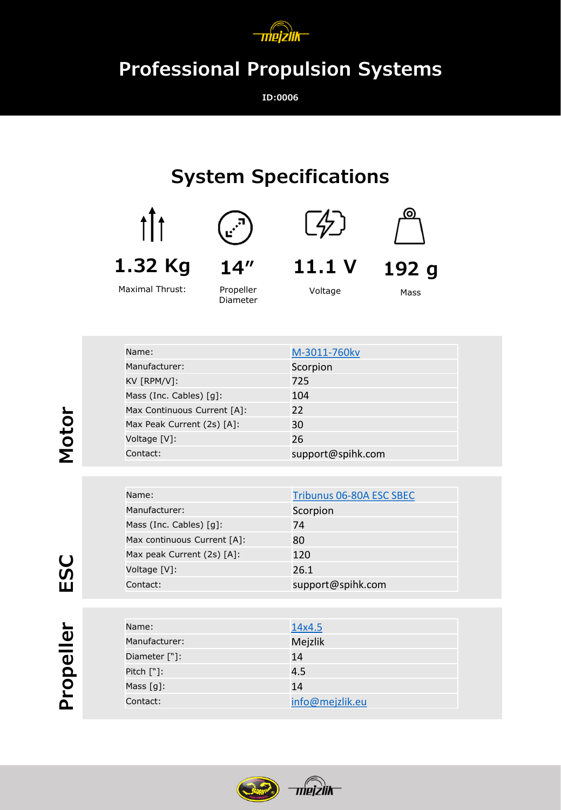

## **Professional Propulsion Systems**

**ID:0006**

## **System Specifications**









**11.1 V**

Voltage



Mass

**192 g**

Maximal Thrust:

Propeller Diameter

| Name:                       | M-3011-760kv      |
|-----------------------------|-------------------|
| Manufacturer:               | Scorpion          |
| KV [RPM/V]:                 | 725               |
| Mass (Inc. Cables) [g]:     | 104               |
| Max Continuous Current [A]: | 22                |
| Max Peak Current (2s) [A]:  | 30                |
| Voltage [V]:                | 26                |
| Contact:                    | support@spihk.com |

| Name:                                  | Tribunus 06-80A ESC SBEC |
|----------------------------------------|--------------------------|
| Manufacturer:                          | Scorpion                 |
| Mass (Inc. Cables) $\lceil q \rceil$ : | 74                       |
| Max continuous Current [A]:            | 80                       |
| Max peak Current (2s) [A]:             | 120                      |
| Voltage [V]:                           | 26.1                     |
| Contact:                               | support@spihk.com        |

| Name:         | 14x4.5          |
|---------------|-----------------|
| Manufacturer: | Mejzlik         |
| Diameter ["]: | 14              |
| Pitch $[\n$ : | 4.5             |
| Mass $[g]$ :  | 14              |
| Contact:      | info@mejzlik.eu |
|               |                 |



**Motor**